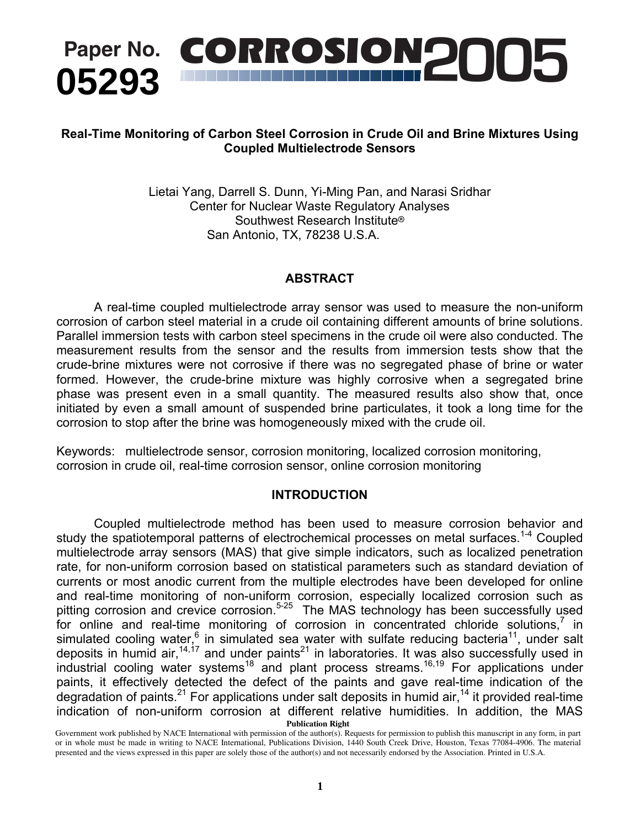

## **Real-Time Monitoring of Carbon Steel Corrosion in Crude Oil and Brine Mixtures Using Coupled Multielectrode Sensors**

Lietai Yang, Darrell S. Dunn, Yi-Ming Pan, and Narasi Sridhar Center for Nuclear Waste Regulatory Analyses Southwest Research Institute<sup>®</sup> San Antonio, TX, 78238 U.S.A.

## **ABSTRACT**

A real-time coupled multielectrode array sensor was used to measure the non-uniform corrosion of carbon steel material in a crude oil containing different amounts of brine solutions. Parallel immersion tests with carbon steel specimens in the crude oil were also conducted. The measurement results from the sensor and the results from immersion tests show that the crude-brine mixtures were not corrosive if there was no segregated phase of brine or water formed. However, the crude-brine mixture was highly corrosive when a segregated brine phase was present even in a small quantity. The measured results also show that, once initiated by even a small amount of suspended brine particulates, it took a long time for the corrosion to stop after the brine was homogeneously mixed with the crude oil.

Keywords: multielectrode sensor, corrosion monitoring, localized corrosion monitoring, corrosion in crude oil, real-time corrosion sensor, online corrosion monitoring

### **INTRODUCTION**

Coupled multielectrode method has been used to measure corrosion behavior and study the spatiotemporal patterns of electrochemical processes on metal surfaces.<sup>1-4</sup> Coupled multielectrode array sensors (MAS) that give simple indicators, such as localized penetration rate, for non-uniform corrosion based on statistical parameters such as standard deviation of currents or most anodic current from the multiple electrodes have been developed for online and real-time monitoring of non-uniform corrosion, especially localized corrosion such as pitting corrosion and crevice corrosion.<sup>5-25</sup> The MAS technology has been successfully used for online and real-time monitoring of corrosion in concentrated chloride solutions,<sup>7</sup> in simulated cooling water,  $6$  in simulated sea water with sulfate reducing bacteria<sup>11</sup>, under salt deposits in humid air,<sup>14,17</sup> and under paints<sup>21</sup> in laboratories. It was also successfully used in industrial cooling water systems<sup>18</sup> and plant process streams.<sup>16,19</sup> For applications under paints, it effectively detected the defect of the paints and gave real-time indication of the degradation of paints.<sup>21</sup> For applications under salt deposits in humid air,<sup>14</sup> it provided real-time indication of non-uniform corrosion at different relative humidities. In addition, the MAS **Water** deposits in humid air  $14,17$  and under paints<sup>21</sup> in laboratories. It was also successfully used in  $I_{\text{in}}$   $I_{\text{in}}$  south  $I_{\text{out}}$  such cations  $18$  and the material presented and the views  $16.19$ . Expressed in this paper are views expressed in this paper are views  $16.19$ . Expressed in this paper are views  $I_{\text{$ muustiiai cooling water systems and plant process **Publication Right** 

Government work published by NACE International with permission of the author(s). Requests for permission to publish this manuscript in any form, in part or in whole must be made in writing to NACE International, Publications Division, 1440 South Creek Drive, Houston, Texas 77084-4906. The material presented and the views expressed in this paper are solely those of the author(s) and not necessarily endorsed by the Association. Printed in U.S.A.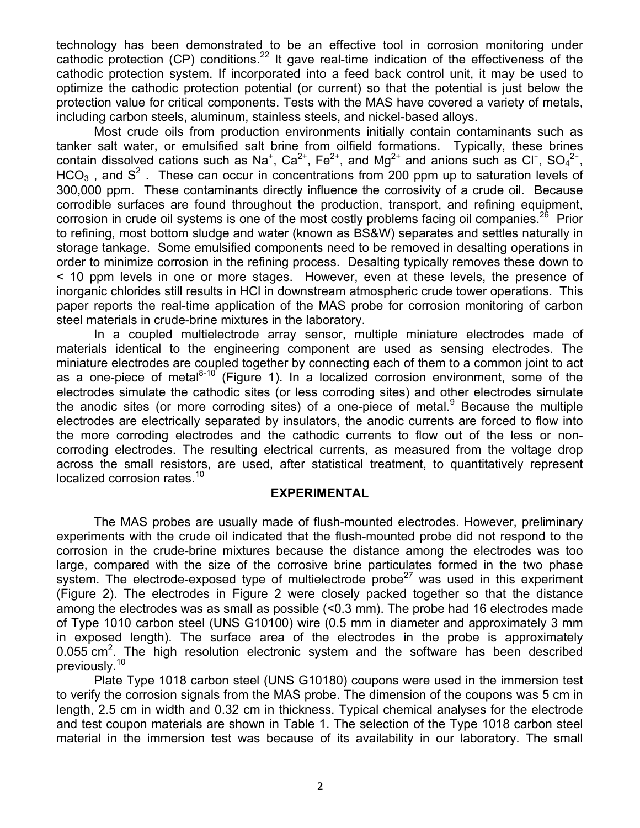technology has been demonstrated to be an effective tool in corrosion monitoring under cathodic protection (CP) conditions.<sup>22</sup> It gave real-time indication of the effectiveness of the cathodic protection system. If incorporated into a feed back control unit, it may be used to optimize the cathodic protection potential (or current) so that the potential is just below the protection value for critical components. Tests with the MAS have covered a variety of metals, including carbon steels, aluminum, stainless steels, and nickel-based alloys.

Most crude oils from production environments initially contain contaminants such as tanker salt water, or emulsified salt brine from oilfield formations. Typically, these brines contain dissolved cations such as Na<sup>+</sup>, Ca<sup>2+</sup>, Fe<sup>2+</sup>, and Mg<sup>2+</sup> and anions such as Cl<sup>-</sup>, SO<sub>4</sub><sup>2-</sup>, HCO<sub>3</sub><sup>-</sup>, and S<sup>2-</sup>. These can occur in concentrations from 200 ppm up to saturation levels of 300,000 ppm. These contaminants directly influence the corrosivity of a crude oil. Because corrodible surfaces are found throughout the production, transport, and refining equipment, corrosion in crude oil systems is one of the most costly problems facing oil companies.<sup>26</sup> Prior to refining, most bottom sludge and water (known as BS&W) separates and settles naturally in storage tankage. Some emulsified components need to be removed in desalting operations in order to minimize corrosion in the refining process. Desalting typically removes these down to < 10 ppm levels in one or more stages. However, even at these levels, the presence of inorganic chlorides still results in HCl in downstream atmospheric crude tower operations. This paper reports the real-time application of the MAS probe for corrosion monitoring of carbon steel materials in crude-brine mixtures in the laboratory.

In a coupled multielectrode array sensor, multiple miniature electrodes made of materials identical to the engineering component are used as sensing electrodes. The miniature electrodes are coupled together by connecting each of them to a common joint to act as a one-piece of metal $8-10$  (Figure 1). In a localized corrosion environment, some of the electrodes simulate the cathodic sites (or less corroding sites) and other electrodes simulate the anodic sites (or more corroding sites) of a one-piece of metal. Because the multiple electrodes are electrically separated by insulators, the anodic currents are forced to flow into the more corroding electrodes and the cathodic currents to flow out of the less or noncorroding electrodes. The resulting electrical currents, as measured from the voltage drop across the small resistors, are used, after statistical treatment, to quantitatively represent localized corrosion rates.<sup>10</sup>

#### **EXPERIMENTAL**

The MAS probes are usually made of flush-mounted electrodes. However, preliminary experiments with the crude oil indicated that the flush-mounted probe did not respond to the corrosion in the crude-brine mixtures because the distance among the electrodes was too large, compared with the size of the corrosive brine particulates formed in the two phase system. The electrode-exposed type of multielectrode probe<sup>27</sup> was used in this experiment (Figure 2). The electrodes in Figure 2 were closely packed together so that the distance among the electrodes was as small as possible (<0.3 mm). The probe had 16 electrodes made of Type 1010 carbon steel (UNS G10100) wire (0.5 mm in diameter and approximately 3 mm in exposed length). The surface area of the electrodes in the probe is approximately  $0.055$  cm<sup>2</sup>. The high resolution electronic system and the software has been described previously.<sup>10</sup>

Plate Type 1018 carbon steel (UNS G10180) coupons were used in the immersion test to verify the corrosion signals from the MAS probe. The dimension of the coupons was 5 cm in length, 2.5 cm in width and 0.32 cm in thickness. Typical chemical analyses for the electrode and test coupon materials are shown in Table 1. The selection of the Type 1018 carbon steel material in the immersion test was because of its availability in our laboratory. The small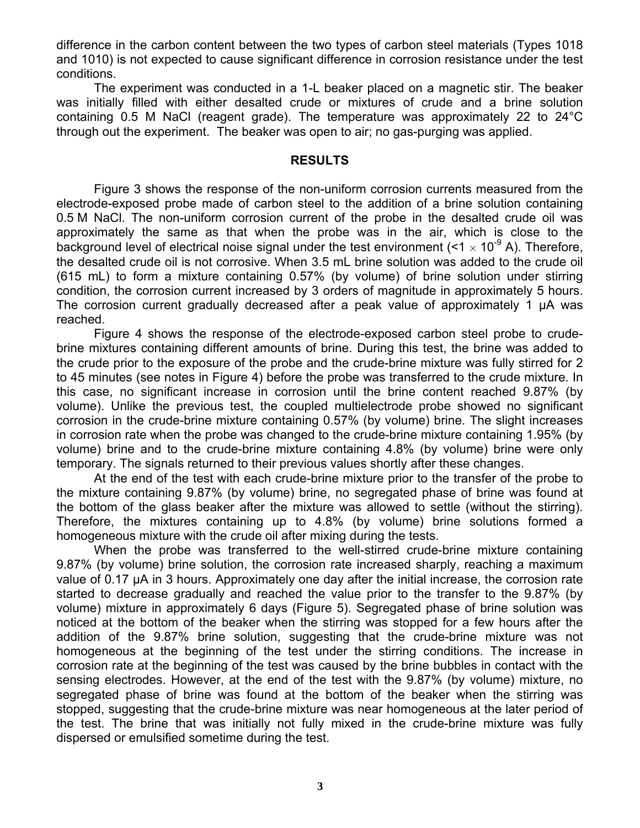difference in the carbon content between the two types of carbon steel materials (Types 1018 and 1010) is not expected to cause significant difference in corrosion resistance under the test conditions.

The experiment was conducted in a 1-L beaker placed on a magnetic stir. The beaker was initially filled with either desalted crude or mixtures of crude and a brine solution containing 0.5 M NaCl (reagent grade). The temperature was approximately 22 to 24°C through out the experiment. The beaker was open to air; no gas-purging was applied.

#### **RESULTS**

Figure 3 shows the response of the non-uniform corrosion currents measured from the electrode-exposed probe made of carbon steel to the addition of a brine solution containing 0.5 M NaCl. The non-uniform corrosion current of the probe in the desalted crude oil was approximately the same as that when the probe was in the air, which is close to the background level of electrical noise signal under the test environment ( $\leq 1 \times 10^{-9}$  A). Therefore, the desalted crude oil is not corrosive. When 3.5 mL brine solution was added to the crude oil (615 mL) to form a mixture containing 0.57% (by volume) of brine solution under stirring condition, the corrosion current increased by 3 orders of magnitude in approximately 5 hours. The corrosion current gradually decreased after a peak value of approximately 1  $\mu$ A was reached.

Figure 4 shows the response of the electrode-exposed carbon steel probe to crudebrine mixtures containing different amounts of brine. During this test, the brine was added to the crude prior to the exposure of the probe and the crude-brine mixture was fully stirred for 2 to 45 minutes (see notes in Figure 4) before the probe was transferred to the crude mixture. In this case, no significant increase in corrosion until the brine content reached 9.87% (by volume). Unlike the previous test, the coupled multielectrode probe showed no significant corrosion in the crude-brine mixture containing 0.57% (by volume) brine. The slight increases in corrosion rate when the probe was changed to the crude-brine mixture containing 1.95% (by volume) brine and to the crude-brine mixture containing 4.8% (by volume) brine were only temporary. The signals returned to their previous values shortly after these changes.

At the end of the test with each crude-brine mixture prior to the transfer of the probe to the mixture containing 9.87% (by volume) brine, no segregated phase of brine was found at the bottom of the glass beaker after the mixture was allowed to settle (without the stirring). Therefore, the mixtures containing up to 4.8% (by volume) brine solutions formed a homogeneous mixture with the crude oil after mixing during the tests.

When the probe was transferred to the well-stirred crude-brine mixture containing 9.87% (by volume) brine solution, the corrosion rate increased sharply, reaching a maximum value of 0.17 µA in 3 hours. Approximately one day after the initial increase, the corrosion rate started to decrease gradually and reached the value prior to the transfer to the 9.87% (by volume) mixture in approximately 6 days (Figure 5). Segregated phase of brine solution was noticed at the bottom of the beaker when the stirring was stopped for a few hours after the addition of the 9.87% brine solution, suggesting that the crude-brine mixture was not homogeneous at the beginning of the test under the stirring conditions. The increase in corrosion rate at the beginning of the test was caused by the brine bubbles in contact with the sensing electrodes. However, at the end of the test with the 9.87% (by volume) mixture, no segregated phase of brine was found at the bottom of the beaker when the stirring was stopped, suggesting that the crude-brine mixture was near homogeneous at the later period of the test. The brine that was initially not fully mixed in the crude-brine mixture was fully dispersed or emulsified sometime during the test.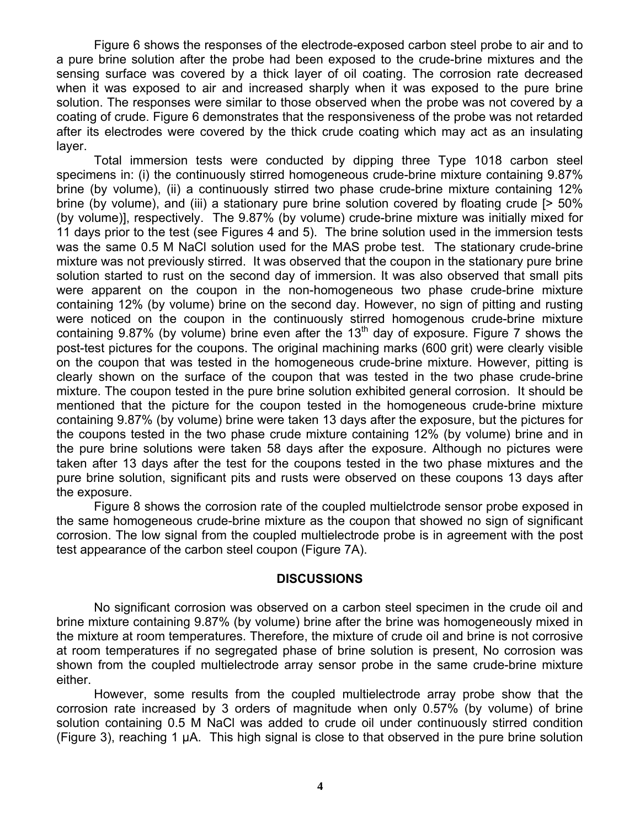Figure 6 shows the responses of the electrode-exposed carbon steel probe to air and to a pure brine solution after the probe had been exposed to the crude-brine mixtures and the sensing surface was covered by a thick layer of oil coating. The corrosion rate decreased when it was exposed to air and increased sharply when it was exposed to the pure brine solution. The responses were similar to those observed when the probe was not covered by a coating of crude. Figure 6 demonstrates that the responsiveness of the probe was not retarded after its electrodes were covered by the thick crude coating which may act as an insulating layer.

Total immersion tests were conducted by dipping three Type 1018 carbon steel specimens in: (i) the continuously stirred homogeneous crude-brine mixture containing 9.87% brine (by volume), (ii) a continuously stirred two phase crude-brine mixture containing 12% brine (by volume), and (iii) a stationary pure brine solution covered by floating crude [> 50% (by volume)], respectively. The 9.87% (by volume) crude-brine mixture was initially mixed for 11 days prior to the test (see Figures 4 and 5). The brine solution used in the immersion tests was the same 0.5 M NaCl solution used for the MAS probe test. The stationary crude-brine mixture was not previously stirred. It was observed that the coupon in the stationary pure brine solution started to rust on the second day of immersion. It was also observed that small pits were apparent on the coupon in the non-homogeneous two phase crude-brine mixture containing 12% (by volume) brine on the second day. However, no sign of pitting and rusting were noticed on the coupon in the continuously stirred homogenous crude-brine mixture containing 9.87% (by volume) brine even after the 13<sup>th</sup> day of exposure. Figure 7 shows the post-test pictures for the coupons. The original machining marks (600 grit) were clearly visible on the coupon that was tested in the homogeneous crude-brine mixture. However, pitting is clearly shown on the surface of the coupon that was tested in the two phase crude-brine mixture. The coupon tested in the pure brine solution exhibited general corrosion. It should be mentioned that the picture for the coupon tested in the homogeneous crude-brine mixture containing 9.87% (by volume) brine were taken 13 days after the exposure, but the pictures for the coupons tested in the two phase crude mixture containing 12% (by volume) brine and in the pure brine solutions were taken 58 days after the exposure. Although no pictures were taken after 13 days after the test for the coupons tested in the two phase mixtures and the pure brine solution, significant pits and rusts were observed on these coupons 13 days after the exposure.

Figure 8 shows the corrosion rate of the coupled multielctrode sensor probe exposed in the same homogeneous crude-brine mixture as the coupon that showed no sign of significant corrosion. The low signal from the coupled multielectrode probe is in agreement with the post test appearance of the carbon steel coupon (Figure 7A).

#### **DISCUSSIONS**

No significant corrosion was observed on a carbon steel specimen in the crude oil and brine mixture containing 9.87% (by volume) brine after the brine was homogeneously mixed in the mixture at room temperatures. Therefore, the mixture of crude oil and brine is not corrosive at room temperatures if no segregated phase of brine solution is present, No corrosion was shown from the coupled multielectrode array sensor probe in the same crude-brine mixture either.

However, some results from the coupled multielectrode array probe show that the corrosion rate increased by 3 orders of magnitude when only 0.57% (by volume) of brine solution containing 0.5 M NaCl was added to crude oil under continuously stirred condition (Figure 3), reaching 1 µA. This high signal is close to that observed in the pure brine solution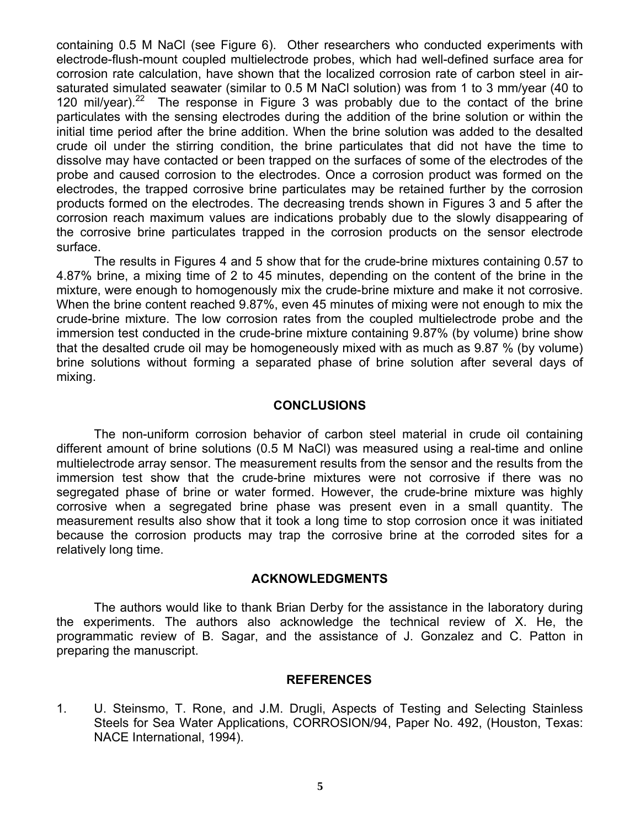containing 0.5 M NaCl (see Figure 6). Other researchers who conducted experiments with electrode-flush-mount coupled multielectrode probes, which had well-defined surface area for corrosion rate calculation, have shown that the localized corrosion rate of carbon steel in airsaturated simulated seawater (similar to 0.5 M NaCl solution) was from 1 to 3 mm/year (40 to 120 mil/year). $22$  The response in Figure 3 was probably due to the contact of the brine particulates with the sensing electrodes during the addition of the brine solution or within the initial time period after the brine addition. When the brine solution was added to the desalted crude oil under the stirring condition, the brine particulates that did not have the time to dissolve may have contacted or been trapped on the surfaces of some of the electrodes of the probe and caused corrosion to the electrodes. Once a corrosion product was formed on the electrodes, the trapped corrosive brine particulates may be retained further by the corrosion products formed on the electrodes. The decreasing trends shown in Figures 3 and 5 after the corrosion reach maximum values are indications probably due to the slowly disappearing of the corrosive brine particulates trapped in the corrosion products on the sensor electrode surface.

The results in Figures 4 and 5 show that for the crude-brine mixtures containing 0.57 to 4.87% brine, a mixing time of 2 to 45 minutes, depending on the content of the brine in the mixture, were enough to homogenously mix the crude-brine mixture and make it not corrosive. When the brine content reached 9.87%, even 45 minutes of mixing were not enough to mix the crude-brine mixture. The low corrosion rates from the coupled multielectrode probe and the immersion test conducted in the crude-brine mixture containing 9.87% (by volume) brine show that the desalted crude oil may be homogeneously mixed with as much as 9.87 % (by volume) brine solutions without forming a separated phase of brine solution after several days of mixing.

### **CONCLUSIONS**

The non-uniform corrosion behavior of carbon steel material in crude oil containing different amount of brine solutions (0.5 M NaCl) was measured using a real-time and online multielectrode array sensor. The measurement results from the sensor and the results from the immersion test show that the crude-brine mixtures were not corrosive if there was no segregated phase of brine or water formed. However, the crude-brine mixture was highly corrosive when a segregated brine phase was present even in a small quantity. The measurement results also show that it took a long time to stop corrosion once it was initiated because the corrosion products may trap the corrosive brine at the corroded sites for a relatively long time.

### **ACKNOWLEDGMENTS**

The authors would like to thank Brian Derby for the assistance in the laboratory during the experiments. The authors also acknowledge the technical review of X. He, the programmatic review of B. Sagar, and the assistance of J. Gonzalez and C. Patton in preparing the manuscript.

### **REFERENCES**

1. U. Steinsmo, T. Rone, and J.M. Drugli, Aspects of Testing and Selecting Stainless Steels for Sea Water Applications, CORROSION/94, Paper No. 492, (Houston, Texas: NACE International, 1994).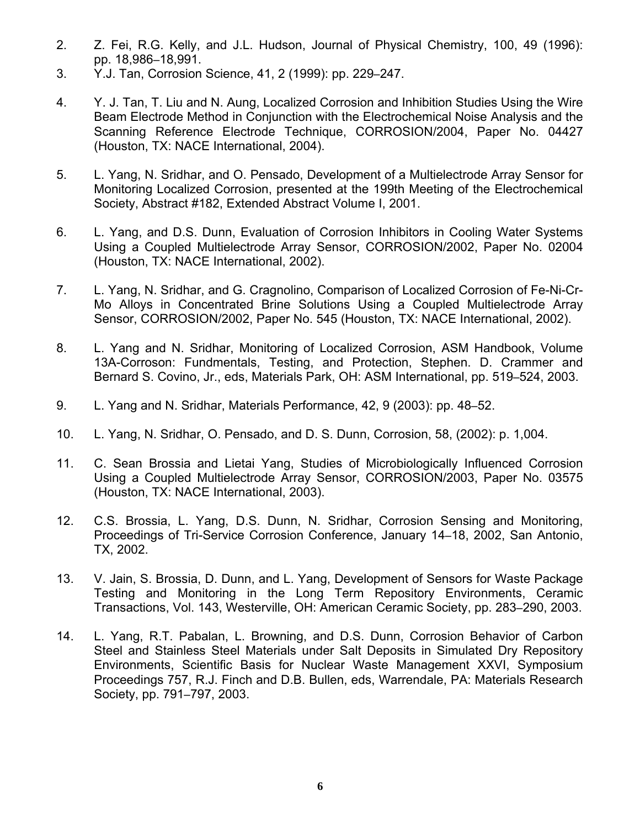- 2. Z. Fei, R.G. Kelly, and J.L. Hudson, Journal of Physical Chemistry, 100, 49 (1996): pp. 18,986–18,991.
- 3. Y.J. Tan, Corrosion Science, 41, 2 (1999): pp. 229–247.
- 4. Y. J. Tan, T. Liu and N. Aung, Localized Corrosion and Inhibition Studies Using the Wire Beam Electrode Method in Conjunction with the Electrochemical Noise Analysis and the Scanning Reference Electrode Technique, CORROSION/2004, Paper No. 04427 (Houston, TX: NACE International, 2004).
- 5. L. Yang, N. Sridhar, and O. Pensado, Development of a Multielectrode Array Sensor for Monitoring Localized Corrosion, presented at the 199th Meeting of the Electrochemical Society, Abstract #182, Extended Abstract Volume I, 2001.
- 6. L. Yang, and D.S. Dunn, Evaluation of Corrosion Inhibitors in Cooling Water Systems Using a Coupled Multielectrode Array Sensor, CORROSION/2002, Paper No. 02004 (Houston, TX: NACE International, 2002).
- 7. L. Yang, N. Sridhar, and G. Cragnolino, Comparison of Localized Corrosion of Fe-Ni-Cr-Mo Alloys in Concentrated Brine Solutions Using a Coupled Multielectrode Array Sensor, CORROSION/2002, Paper No. 545 (Houston, TX: NACE International, 2002).
- 8. L. Yang and N. Sridhar, Monitoring of Localized Corrosion, ASM Handbook, Volume 13A-Corroson: Fundmentals, Testing, and Protection, Stephen. D. Crammer and Bernard S. Covino, Jr., eds, Materials Park, OH: ASM International, pp. 519–524, 2003.
- 9. L. Yang and N. Sridhar, Materials Performance, 42, 9 (2003): pp. 48–52.
- 10. L. Yang, N. Sridhar, O. Pensado, and D. S. Dunn, Corrosion, 58, (2002): p. 1,004.
- 11. C. Sean Brossia and Lietai Yang, Studies of Microbiologically Influenced Corrosion Using a Coupled Multielectrode Array Sensor, CORROSION/2003, Paper No. 03575 (Houston, TX: NACE International, 2003).
- 12. C.S. Brossia, L. Yang, D.S. Dunn, N. Sridhar, Corrosion Sensing and Monitoring, Proceedings of Tri-Service Corrosion Conference, January 14–18, 2002, San Antonio, TX, 2002.
- 13. V. Jain, S. Brossia, D. Dunn, and L. Yang, Development of Sensors for Waste Package Testing and Monitoring in the Long Term Repository Environments, Ceramic Transactions, Vol. 143, Westerville, OH: American Ceramic Society, pp. 283–290, 2003.
- 14. L. Yang, R.T. Pabalan, L. Browning, and D.S. Dunn, Corrosion Behavior of Carbon Steel and Stainless Steel Materials under Salt Deposits in Simulated Dry Repository Environments, Scientific Basis for Nuclear Waste Management XXVI, Symposium Proceedings 757, R.J. Finch and D.B. Bullen, eds, Warrendale, PA: Materials Research Society, pp. 791–797, 2003.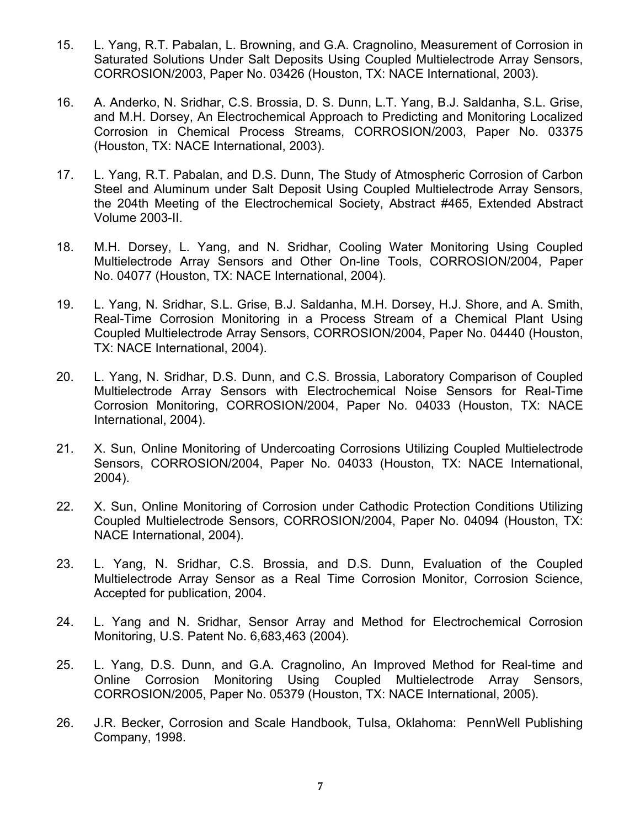- 15. L. Yang, R.T. Pabalan, L. Browning, and G.A. Cragnolino, Measurement of Corrosion in Saturated Solutions Under Salt Deposits Using Coupled Multielectrode Array Sensors, CORROSION/2003, Paper No. 03426 (Houston, TX: NACE International, 2003).
- 16. A. Anderko, N. Sridhar, C.S. Brossia, D. S. Dunn, L.T. Yang, B.J. Saldanha, S.L. Grise, and M.H. Dorsey, An Electrochemical Approach to Predicting and Monitoring Localized Corrosion in Chemical Process Streams, CORROSION/2003, Paper No. 03375 (Houston, TX: NACE International, 2003).
- 17. L. Yang, R.T. Pabalan, and D.S. Dunn, The Study of Atmospheric Corrosion of Carbon Steel and Aluminum under Salt Deposit Using Coupled Multielectrode Array Sensors, the 204th Meeting of the Electrochemical Society, Abstract #465, Extended Abstract Volume 2003-II.
- 18. M.H. Dorsey, L. Yang, and N. Sridhar, Cooling Water Monitoring Using Coupled Multielectrode Array Sensors and Other On-line Tools, CORROSION/2004, Paper No. 04077 (Houston, TX: NACE International, 2004).
- 19. L. Yang, N. Sridhar, S.L. Grise, B.J. Saldanha, M.H. Dorsey, H.J. Shore, and A. Smith, Real-Time Corrosion Monitoring in a Process Stream of a Chemical Plant Using Coupled Multielectrode Array Sensors, CORROSION/2004, Paper No. 04440 (Houston, TX: NACE International, 2004).
- 20. L. Yang, N. Sridhar, D.S. Dunn, and C.S. Brossia, Laboratory Comparison of Coupled Multielectrode Array Sensors with Electrochemical Noise Sensors for Real-Time Corrosion Monitoring, CORROSION/2004, Paper No. 04033 (Houston, TX: NACE International, 2004).
- 21. X. Sun, Online Monitoring of Undercoating Corrosions Utilizing Coupled Multielectrode Sensors, CORROSION/2004, Paper No. 04033 (Houston, TX: NACE International, 2004).
- 22. X. Sun, Online Monitoring of Corrosion under Cathodic Protection Conditions Utilizing Coupled Multielectrode Sensors, CORROSION/2004, Paper No. 04094 (Houston, TX: NACE International, 2004).
- 23. L. Yang, N. Sridhar, C.S. Brossia, and D.S. Dunn, Evaluation of the Coupled Multielectrode Array Sensor as a Real Time Corrosion Monitor, Corrosion Science, Accepted for publication, 2004.
- 24. L. Yang and N. Sridhar, Sensor Array and Method for Electrochemical Corrosion Monitoring, U.S. Patent No. 6,683,463 (2004).
- 25. L. Yang, D.S. Dunn, and G.A. Cragnolino, An Improved Method for Real-time and Online Corrosion Monitoring Using Coupled Multielectrode Array Sensors, CORROSION/2005, Paper No. 05379 (Houston, TX: NACE International, 2005).
- 26. J.R. Becker, Corrosion and Scale Handbook, Tulsa, Oklahoma: PennWell Publishing Company, 1998.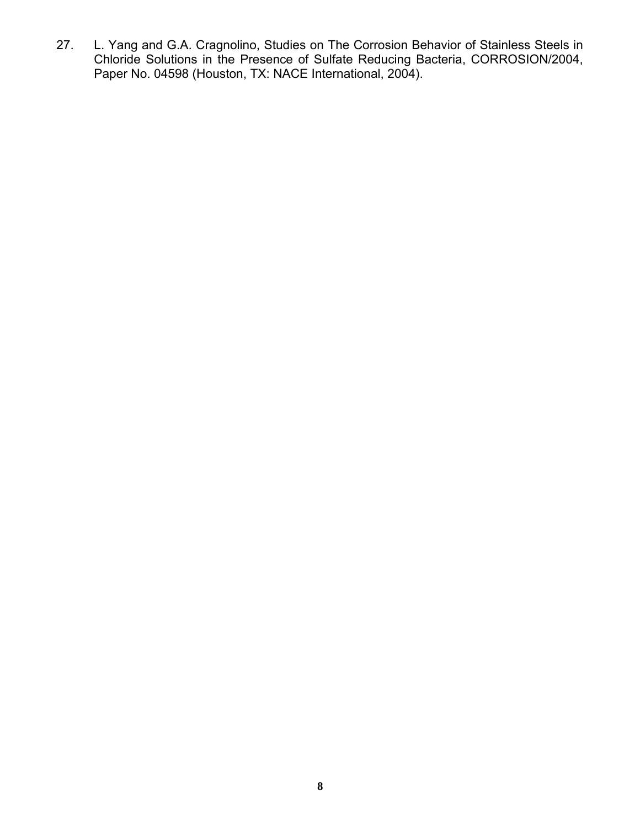27. L. Yang and G.A. Cragnolino, Studies on The Corrosion Behavior of Stainless Steels in Chloride Solutions in the Presence of Sulfate Reducing Bacteria, CORROSION/2004, Paper No. 04598 (Houston, TX: NACE International, 2004).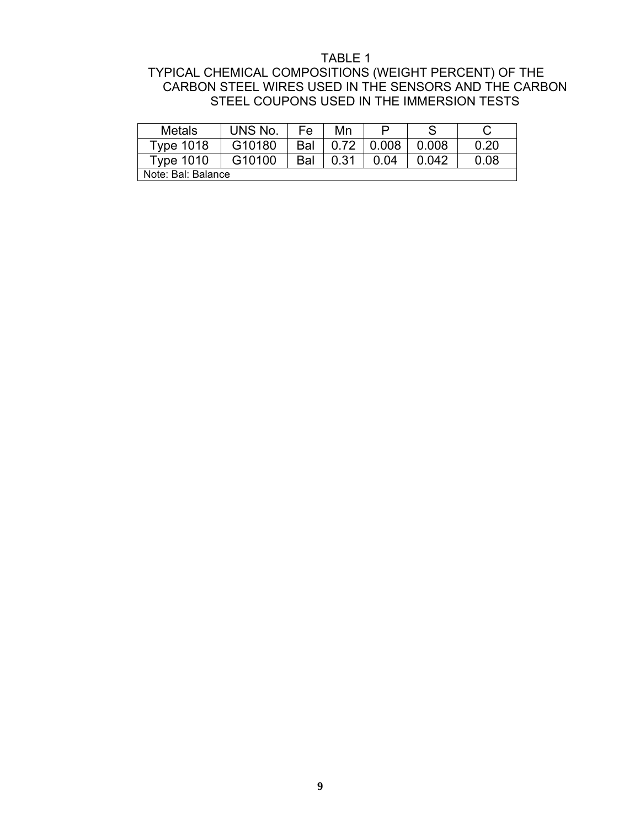### TABLE 1

# TYPICAL CHEMICAL COMPOSITIONS (WEIGHT PERCENT) OF THE CARBON STEEL WIRES USED IN THE SENSORS AND THE CARBON STEEL COUPONS USED IN THE IMMERSION TESTS

| Metals             | UNS No. | Fe  | Mn   | ⊏     |       |      |
|--------------------|---------|-----|------|-------|-------|------|
| Type 1018          | G10180  | Bal | 0.72 | 0.008 | 0.008 | 0.20 |
| Type 1010          | G10100  | Bal | 0.31 | 0.04  | 0.042 | 0.08 |
| Note: Bal: Balance |         |     |      |       |       |      |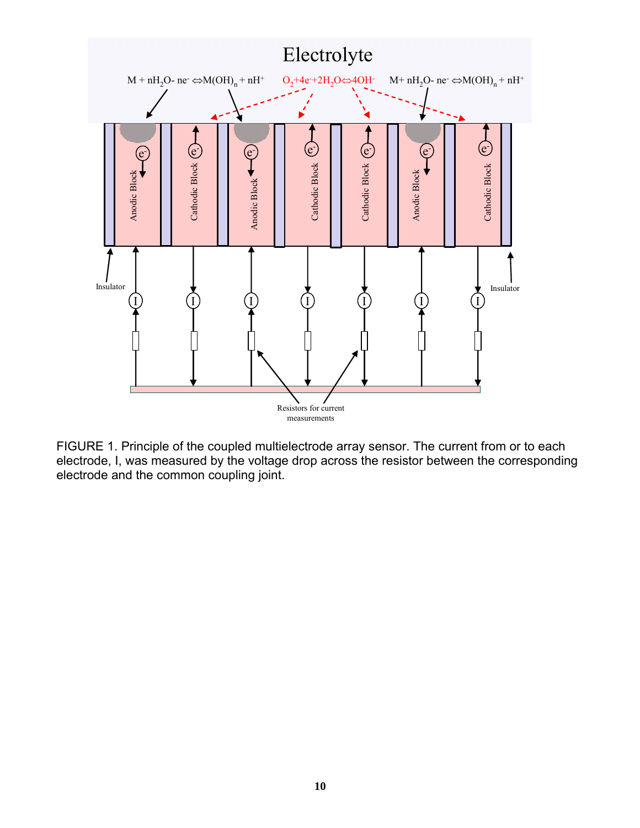

FIGURE 1. Principle of the coupled multielectrode array sensor. The current from or to each electrode, I, was measured by the voltage drop across the resistor between the corresponding electrode and the common coupling joint.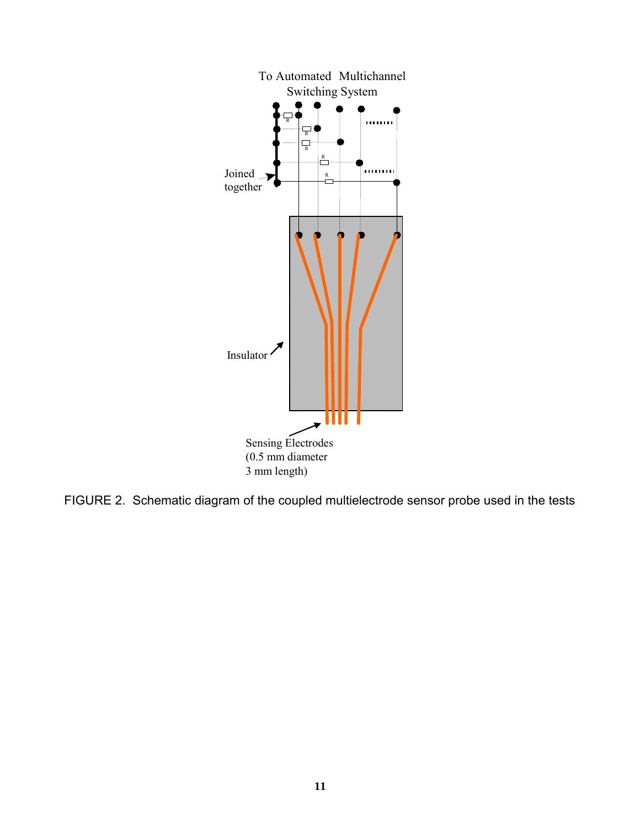

FIGURE 2. Schematic diagram of the coupled multielectrode sensor probe used in the tests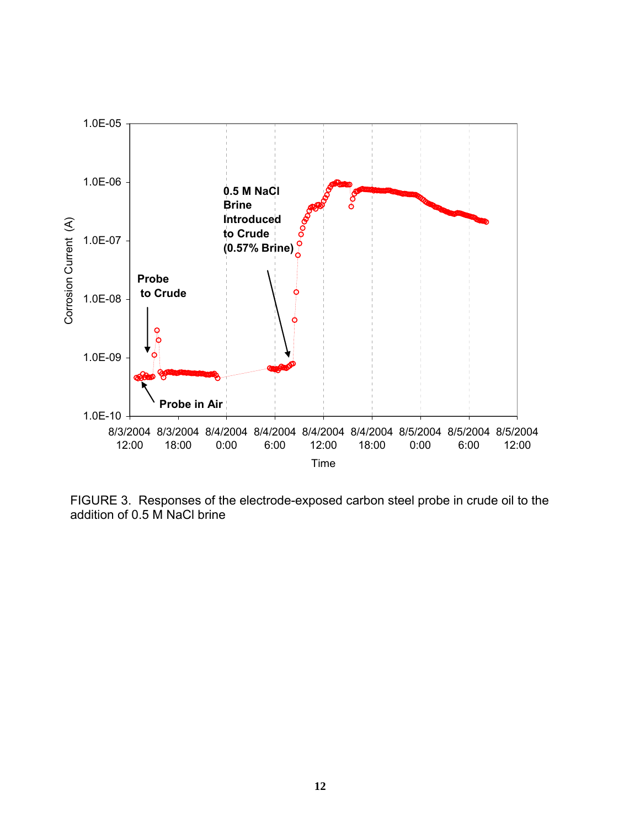

FIGURE 3.Responses of the electrode-exposed carbon steel probe in crude oil to the addition of 0.5 M NaCl brine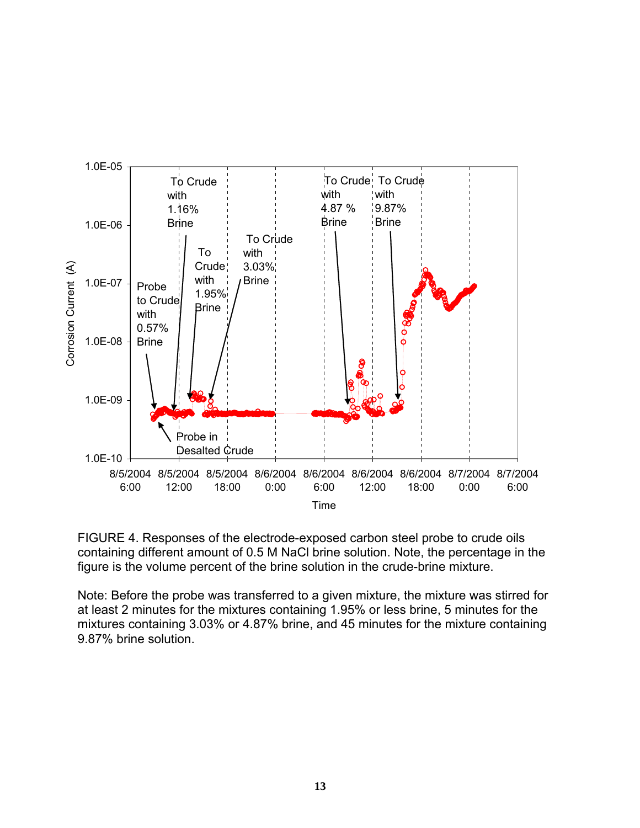



Note: Before the probe was transferred to a given mixture, the mixture was stirred for at least 2 minutes for the mixtures containing 1.95% or less brine, 5 minutes for the mixtures containing 3.03% or 4.87% brine, and 45 minutes for the mixture containing 9.87% brine solution.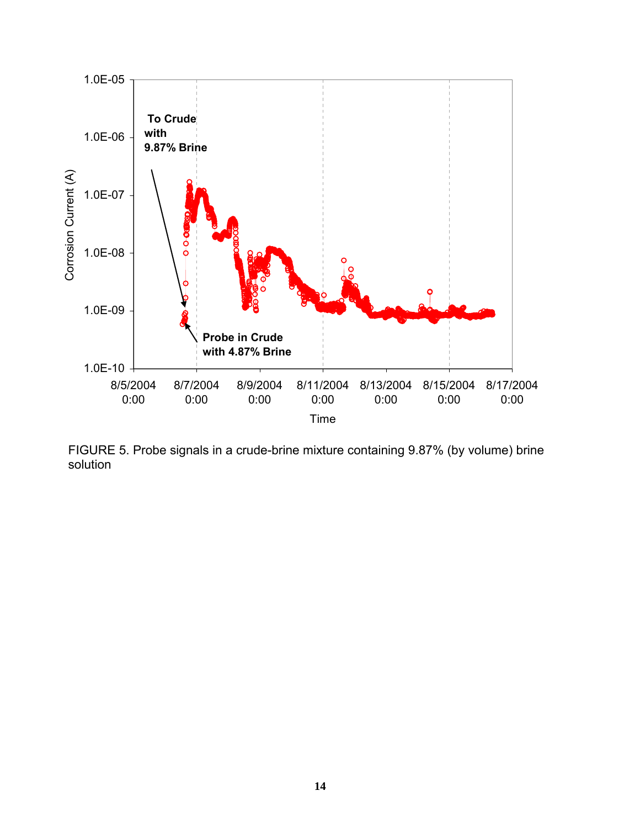

FIGURE 5. Probe signals in a crude-brine mixture containing 9.87% (by volume) brine solution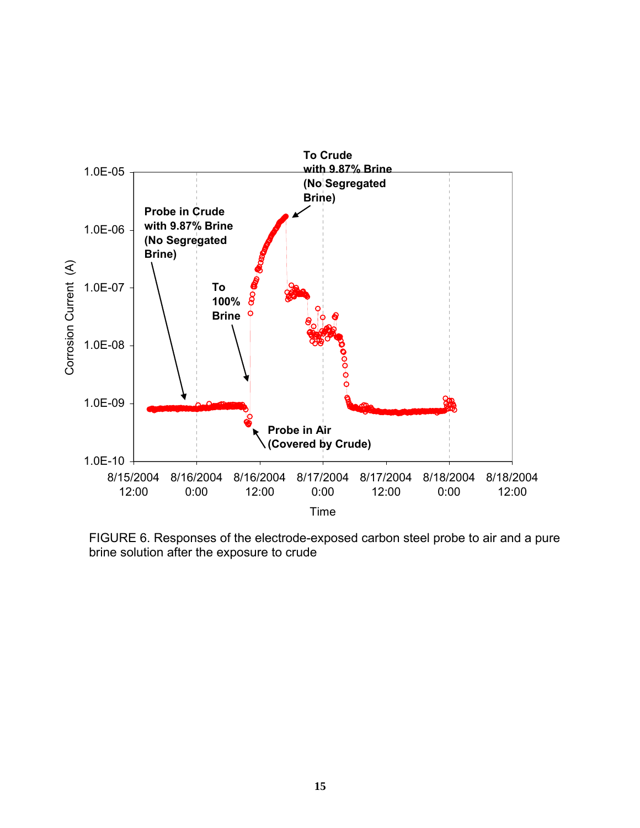

FIGURE 6. Responses of the electrode-exposed carbon steel probe to air and a pure brine solution after the exposure to crude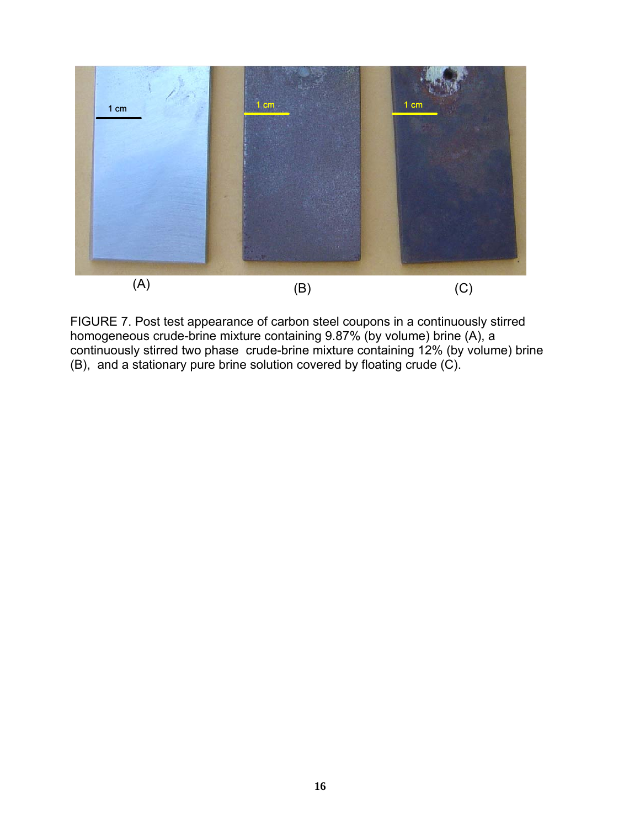

FIGURE 7. Post test appearance of carbon steel coupons in a continuously stirred homogeneous crude-brine mixture containing 9.87% (by volume) brine (A), a continuously stirred two phase crude-brine mixture containing 12% (by volume) brine (B), and a stationary pure brine solution covered by floating crude (C).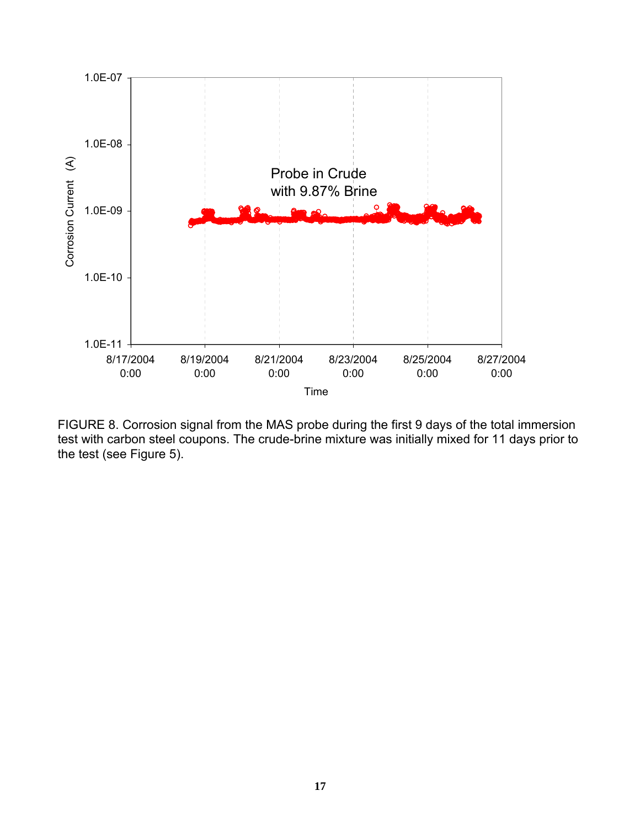

FIGURE 8. Corrosion signal from the MAS probe during the first 9 days of the total immersion test with carbon steel coupons. The crude-brine mixture was initially mixed for 11 days prior to the test (see Figure 5).